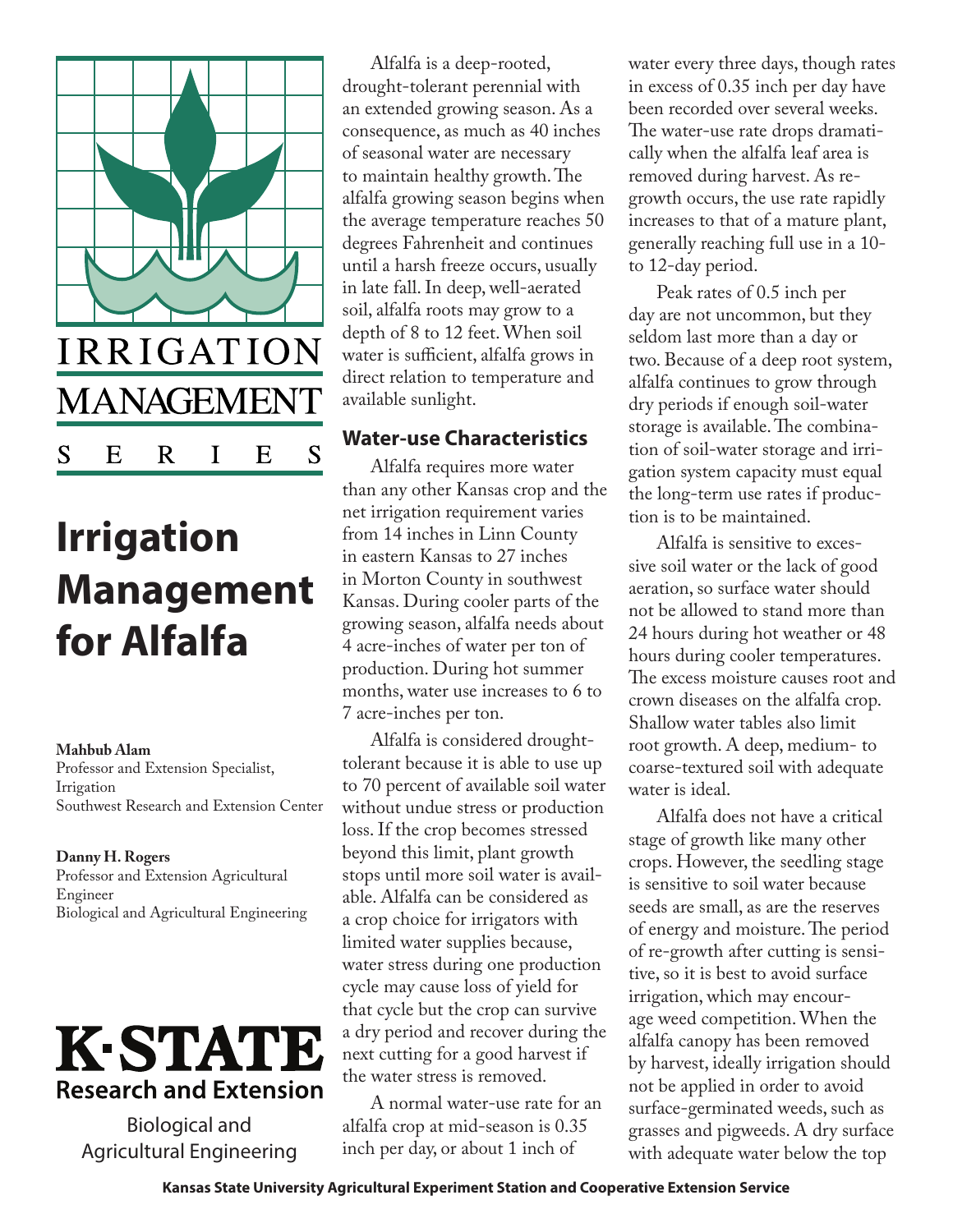

# **Irrigation Management for Alfalfa**

**Mahbub Alam** Professor and Extension Specialist, Irrigation Southwest Research and Extension Center

**Danny H. Rogers**  Professor and Extension Agricultural Engineer Biological and Agricultural Engineering



Biological and Agricultural Engineering

Alfalfa is a deep-rooted, drought-tolerant perennial with an extended growing season. As a consequence, as much as 40 inches of seasonal water are necessary to maintain healthy growth. The alfalfa growing season begins when the average temperature reaches 50 degrees Fahrenheit and continues until a harsh freeze occurs, usually in late fall. In deep, well-aerated soil, alfalfa roots may grow to a depth of 8 to 12 feet. When soil water is sufficient, alfalfa grows in direct relation to temperature and available sunlight.

#### **Water-use Characteristics**

Alfalfa requires more water than any other Kansas crop and the net irrigation requirement varies from 14 inches in Linn County in eastern Kansas to 27 inches in Morton County in southwest Kansas. During cooler parts of the growing season, alfalfa needs about 4 acre-inches of water per ton of production. During hot summer months, water use increases to 6 to 7 acre-inches per ton.

Alfalfa is considered droughttolerant because it is able to use up to 70 percent of available soil water without undue stress or production loss. If the crop becomes stressed beyond this limit, plant growth stops until more soil water is available. Alfalfa can be considered as a crop choice for irrigators with limited water supplies because, water stress during one production cycle may cause loss of yield for that cycle but the crop can survive a dry period and recover during the next cutting for a good harvest if the water stress is removed.

A normal water-use rate for an alfalfa crop at mid-season is 0.35 inch per day, or about 1 inch of

water every three days, though rates in excess of 0.35 inch per day have been recorded over several weeks. The water-use rate drops dramatically when the alfalfa leaf area is removed during harvest. As regrowth occurs, the use rate rapidly increases to that of a mature plant, generally reaching full use in a 10 to 12-day period.

Peak rates of 0.5 inch per day are not uncommon, but they seldom last more than a day or two. Because of a deep root system, alfalfa continues to grow through dry periods if enough soil-water storage is available. The combination of soil-water storage and irrigation system capacity must equal the long-term use rates if production is to be maintained.

Alfalfa is sensitive to excessive soil water or the lack of good aeration, so surface water should not be allowed to stand more than 24 hours during hot weather or 48 hours during cooler temperatures. The excess moisture causes root and crown diseases on the alfalfa crop. Shallow water tables also limit root growth. A deep, medium- to coarse-textured soil with adequate water is ideal.

Alfalfa does not have a critical stage of growth like many other crops. However, the seedling stage is sensitive to soil water because seeds are small, as are the reserves of energy and moisture. The period of re-growth after cutting is sensitive, so it is best to avoid surface irrigation, which may encourage weed competition. When the alfalfa canopy has been removed by harvest, ideally irrigation should not be applied in order to avoid surface-germinated weeds, such as grasses and pigweeds. A dry surface with adequate water below the top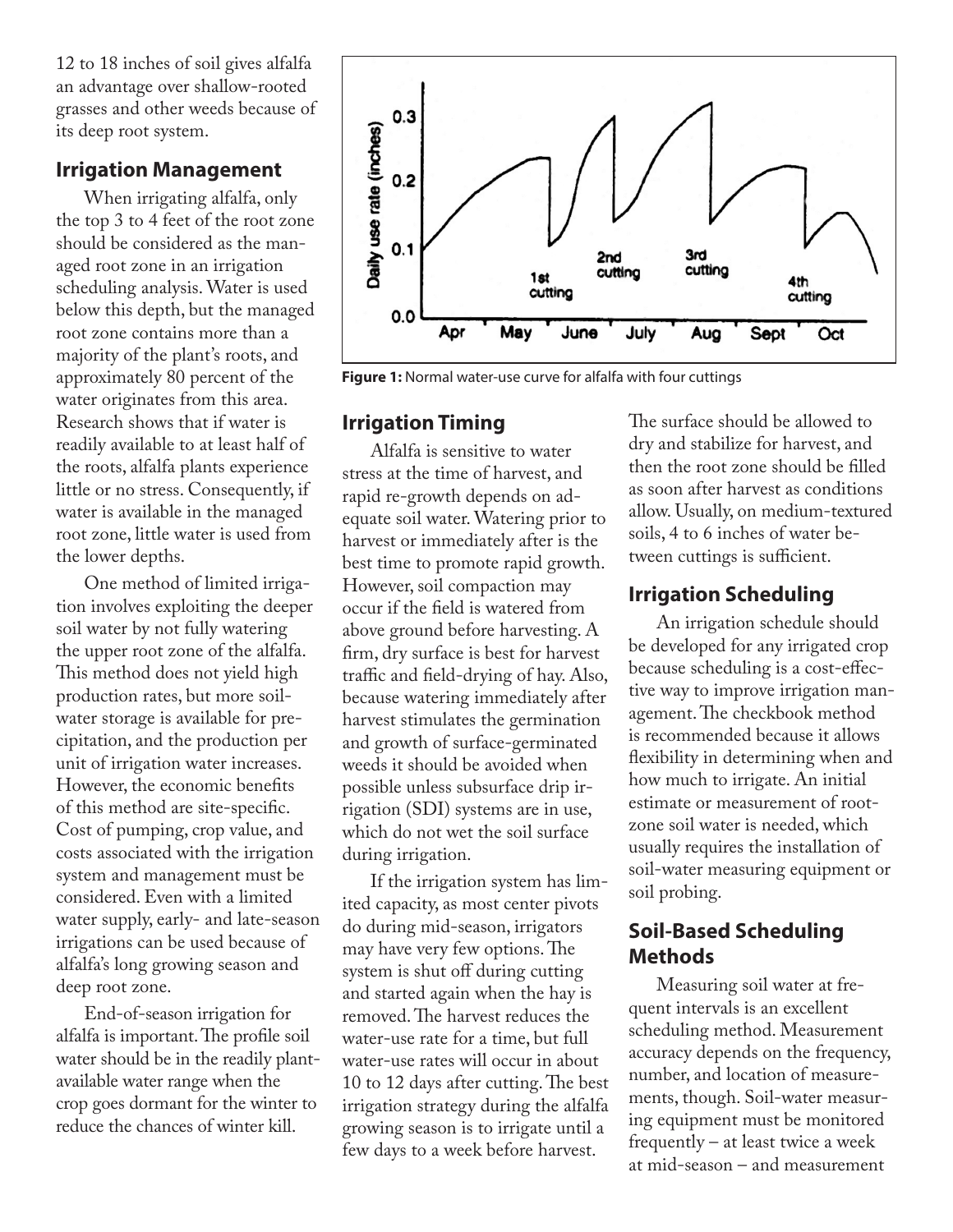12 to 18 inches of soil gives alfalfa an advantage over shallow-rooted grasses and other weeds because of its deep root system.

#### **Irrigation Management**

When irrigating alfalfa, only the top 3 to 4 feet of the root zone should be considered as the managed root zone in an irrigation scheduling analysis. Water is used below this depth, but the managed root zone contains more than a majority of the plant's roots, and approximately 80 percent of the water originates from this area. Research shows that if water is readily available to at least half of the roots, alfalfa plants experience little or no stress. Consequently, if water is available in the managed root zone, little water is used from the lower depths.

One method of limited irrigation involves exploiting the deeper soil water by not fully watering the upper root zone of the alfalfa. This method does not yield high production rates, but more soilwater storage is available for precipitation, and the production per unit of irrigation water increases. However, the economic benefits of this method are site-specific. Cost of pumping, crop value, and costs associated with the irrigation system and management must be considered. Even with a limited water supply, early- and late-season irrigations can be used because of alfalfa's long growing season and deep root zone.

End-of-season irrigation for alfalfa is important. The profile soil water should be in the readily plantavailable water range when the crop goes dormant for the winter to reduce the chances of winter kill.



**Figure 1:** Normal water-use curve for alfalfa with four cuttings

#### **Irrigation Timing**

Alfalfa is sensitive to water stress at the time of harvest, and rapid re-growth depends on adequate soil water. Watering prior to harvest or immediately after is the best time to promote rapid growth. However, soil compaction may occur if the field is watered from above ground before harvesting. A firm, dry surface is best for harvest traffic and field-drying of hay. Also, because watering immediately after harvest stimulates the germination and growth of surface-germinated weeds it should be avoided when possible unless subsurface drip irrigation (SDI) systems are in use, which do not wet the soil surface during irrigation.

If the irrigation system has limited capacity, as most center pivots do during mid-season, irrigators may have very few options. The system is shut off during cutting and started again when the hay is removed. The harvest reduces the water-use rate for a time, but full water-use rates will occur in about 10 to 12 days after cutting. The best irrigation strategy during the alfalfa growing season is to irrigate until a few days to a week before harvest.

The surface should be allowed to dry and stabilize for harvest, and then the root zone should be filled as soon after harvest as conditions allow. Usually, on medium-textured soils, 4 to 6 inches of water between cuttings is sufficient.

## **Irrigation Scheduling**

An irrigation schedule should be developed for any irrigated crop because scheduling is a cost-effective way to improve irrigation management. The checkbook method is recommended because it allows flexibility in determining when and how much to irrigate. An initial estimate or measurement of rootzone soil water is needed, which usually requires the installation of soil-water measuring equipment or soil probing.

## **Soil-Based Scheduling Methods**

Measuring soil water at frequent intervals is an excellent scheduling method. Measurement accuracy depends on the frequency, number, and location of measurements, though. Soil-water measuring equipment must be monitored frequently – at least twice a week at mid-season – and measurement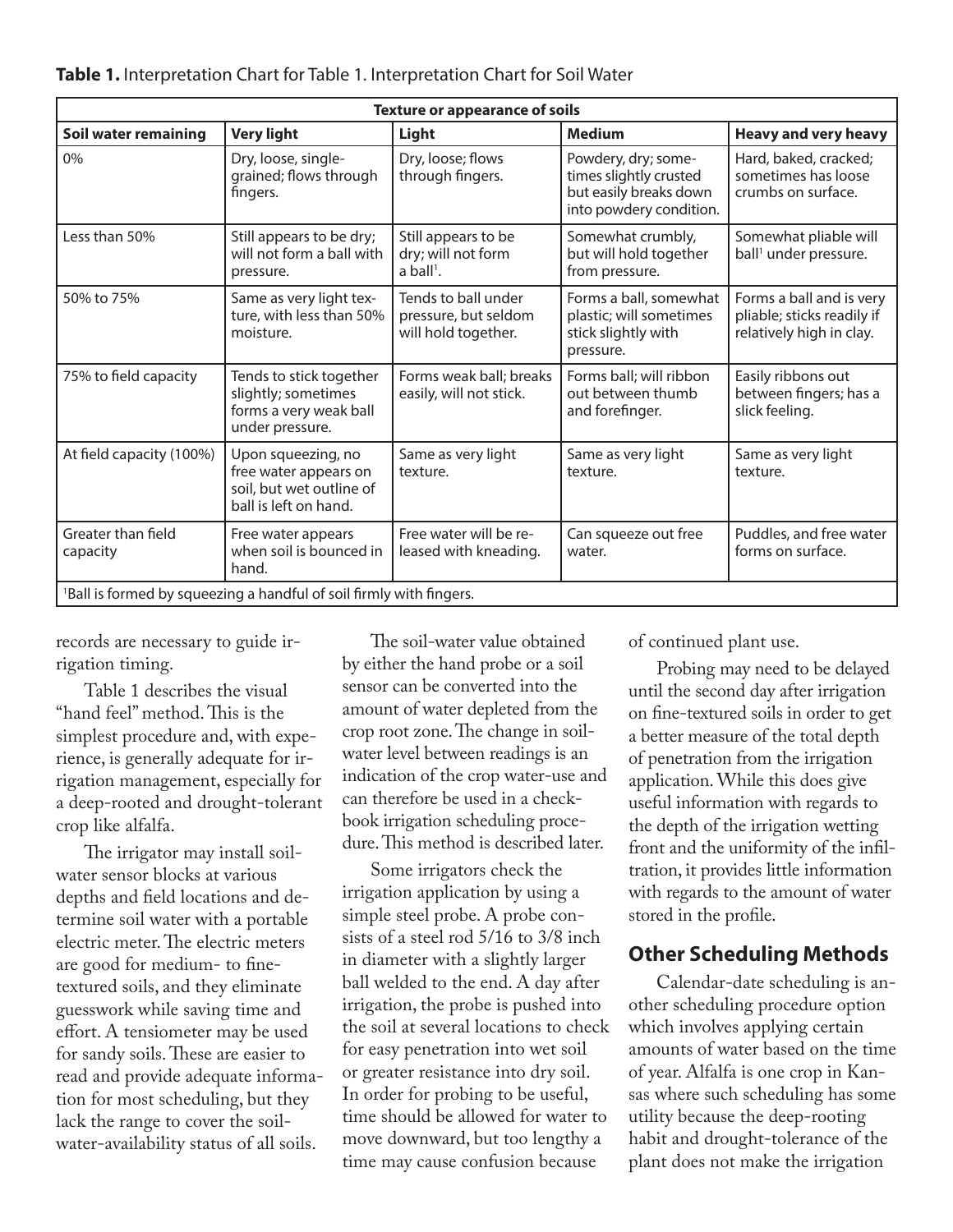| <b>Texture or appearance of soils</b>                                           |                                                                                                  |                                                                      |                                                                                                    |                                                                                    |
|---------------------------------------------------------------------------------|--------------------------------------------------------------------------------------------------|----------------------------------------------------------------------|----------------------------------------------------------------------------------------------------|------------------------------------------------------------------------------------|
| Soil water remaining                                                            | <b>Very light</b>                                                                                | Light                                                                | <b>Medium</b>                                                                                      | <b>Heavy and very heavy</b>                                                        |
| 0%                                                                              | Dry, loose, single-<br>grained; flows through<br>fingers.                                        | Dry, loose; flows<br>through fingers.                                | Powdery, dry; some-<br>times slightly crusted<br>but easily breaks down<br>into powdery condition. | Hard, baked, cracked;<br>sometimes has loose<br>crumbs on surface.                 |
| Less than 50%                                                                   | Still appears to be dry;<br>will not form a ball with<br>pressure.                               | Still appears to be<br>dry; will not form<br>$a$ ball <sup>1</sup> . | Somewhat crumbly,<br>but will hold together<br>from pressure.                                      | Somewhat pliable will<br>ball <sup>1</sup> under pressure.                         |
| 50% to 75%                                                                      | Same as very light tex-<br>ture, with less than 50%<br>moisture.                                 | Tends to ball under<br>pressure, but seldom<br>will hold together.   | Forms a ball, somewhat<br>plastic; will sometimes<br>stick slightly with<br>pressure.              | Forms a ball and is very<br>pliable; sticks readily if<br>relatively high in clay. |
| 75% to field capacity                                                           | Tends to stick together<br>slightly; sometimes<br>forms a very weak ball<br>under pressure.      | Forms weak ball; breaks<br>easily, will not stick.                   | Forms ball; will ribbon<br>out between thumb<br>and forefinger.                                    | Easily ribbons out<br>between fingers; has a<br>slick feeling.                     |
| At field capacity (100%)                                                        | Upon squeezing, no<br>free water appears on<br>soil, but wet outline of<br>ball is left on hand. | Same as very light<br>texture.                                       | Same as very light<br>texture.                                                                     | Same as very light<br>texture.                                                     |
| Greater than field<br>capacity                                                  | Free water appears<br>when soil is bounced in<br>hand.                                           | Free water will be re-<br>leased with kneading.                      | Can squeeze out free<br>water.                                                                     | Puddles, and free water<br>forms on surface.                                       |
| <sup>1</sup> Ball is formed by squeezing a handful of soil firmly with fingers. |                                                                                                  |                                                                      |                                                                                                    |                                                                                    |

records are necessary to guide irrigation timing.

Table 1 describes the visual "hand feel" method. This is the simplest procedure and, with experience, is generally adequate for irrigation management, especially for a deep-rooted and drought-tolerant crop like alfalfa.

The irrigator may install soilwater sensor blocks at various depths and field locations and determine soil water with a portable electric meter. The electric meters are good for medium- to finetextured soils, and they eliminate guesswork while saving time and effort. A tensiometer may be used for sandy soils. These are easier to read and provide adequate information for most scheduling, but they lack the range to cover the soilwater-availability status of all soils.

The soil-water value obtained by either the hand probe or a soil sensor can be converted into the amount of water depleted from the crop root zone. The change in soilwater level between readings is an indication of the crop water-use and can therefore be used in a checkbook irrigation scheduling procedure. This method is described later.

Some irrigators check the irrigation application by using a simple steel probe. A probe consists of a steel rod 5/16 to 3/8 inch in diameter with a slightly larger ball welded to the end. A day after irrigation, the probe is pushed into the soil at several locations to check for easy penetration into wet soil or greater resistance into dry soil. In order for probing to be useful, time should be allowed for water to move downward, but too lengthy a time may cause confusion because

of continued plant use.

Probing may need to be delayed until the second day after irrigation on fine-textured soils in order to get a better measure of the total depth of penetration from the irrigation application. While this does give useful information with regards to the depth of the irrigation wetting front and the uniformity of the infiltration, it provides little information with regards to the amount of water stored in the profile.

#### **Other Scheduling Methods**

Calendar-date scheduling is another scheduling procedure option which involves applying certain amounts of water based on the time of year. Alfalfa is one crop in Kansas where such scheduling has some utility because the deep-rooting habit and drought-tolerance of the plant does not make the irrigation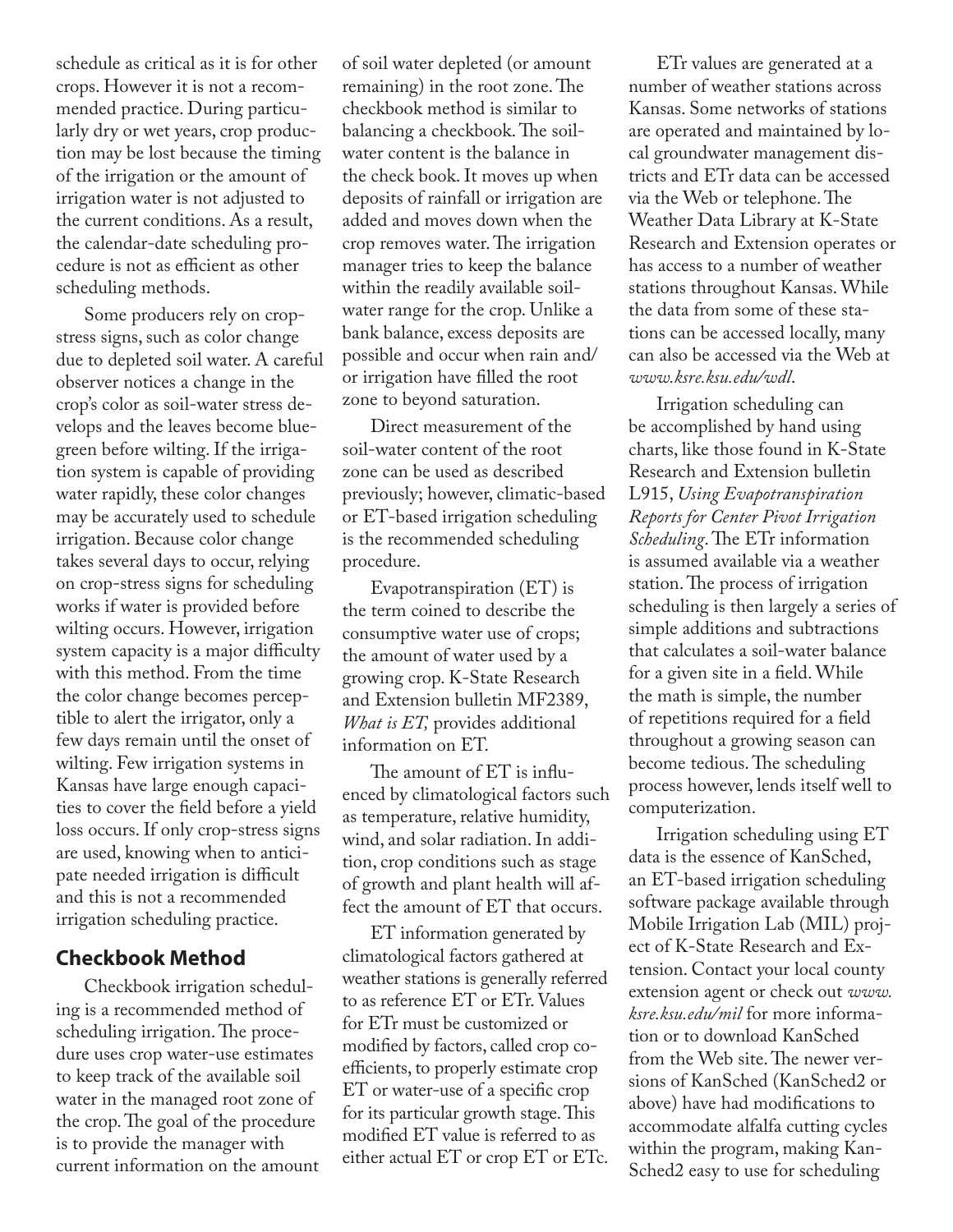schedule as critical as it is for other crops. However it is not a recommended practice. During particularly dry or wet years, crop production may be lost because the timing of the irrigation or the amount of irrigation water is not adjusted to the current conditions. As a result, the calendar-date scheduling procedure is not as efficient as other scheduling methods.

Some producers rely on cropstress signs, such as color change due to depleted soil water. A careful observer notices a change in the crop's color as soil-water stress develops and the leaves become bluegreen before wilting. If the irrigation system is capable of providing water rapidly, these color changes may be accurately used to schedule irrigation. Because color change takes several days to occur, relying on crop-stress signs for scheduling works if water is provided before wilting occurs. However, irrigation system capacity is a major difficulty with this method. From the time the color change becomes perceptible to alert the irrigator, only a few days remain until the onset of wilting. Few irrigation systems in Kansas have large enough capacities to cover the field before a yield loss occurs. If only crop-stress signs are used, knowing when to anticipate needed irrigation is difficult and this is not a recommended irrigation scheduling practice.

#### **Checkbook Method**

Checkbook irrigation scheduling is a recommended method of scheduling irrigation. The procedure uses crop water-use estimates to keep track of the available soil water in the managed root zone of the crop. The goal of the procedure is to provide the manager with current information on the amount

of soil water depleted (or amount remaining) in the root zone. The checkbook method is similar to balancing a checkbook. The soilwater content is the balance in the check book. It moves up when deposits of rainfall or irrigation are added and moves down when the crop removes water. The irrigation manager tries to keep the balance within the readily available soilwater range for the crop. Unlike a bank balance, excess deposits are possible and occur when rain and/ or irrigation have filled the root zone to beyond saturation.

Direct measurement of the soil-water content of the root zone can be used as described previously; however, climatic-based or ET-based irrigation scheduling is the recommended scheduling procedure.

Evapotranspiration (ET) is the term coined to describe the consumptive water use of crops; the amount of water used by a growing crop. K-State Research and Extension bulletin MF2389, *What is ET,* provides additional information on ET.

The amount of ET is influenced by climatological factors such as temperature, relative humidity, wind, and solar radiation. In addition, crop conditions such as stage of growth and plant health will affect the amount of ET that occurs.

ET information generated by climatological factors gathered at weather stations is generally referred to as reference ET or ETr. Values for ETr must be customized or modified by factors, called crop coefficients, to properly estimate crop ET or water-use of a specific crop for its particular growth stage. This modified ET value is referred to as either actual ET or crop ET or ETc.

ETr values are generated at a number of weather stations across Kansas. Some networks of stations are operated and maintained by local groundwater management districts and ETr data can be accessed via the Web or telephone. The Weather Data Library at K-State Research and Extension operates or has access to a number of weather stations throughout Kansas. While the data from some of these stations can be accessed locally, many can also be accessed via the Web at *www.ksre.ksu.edu/wdl*.

Irrigation scheduling can be accomplished by hand using charts, like those found in K-State Research and Extension bulletin L915, *Using Evapotranspiration Reports for Center Pivot Irrigation Scheduling*. The ETr information is assumed available via a weather station. The process of irrigation scheduling is then largely a series of simple additions and subtractions that calculates a soil-water balance for a given site in a field. While the math is simple, the number of repetitions required for a field throughout a growing season can become tedious. The scheduling process however, lends itself well to computerization.

Irrigation scheduling using ET data is the essence of KanSched, an ET-based irrigation scheduling software package available through Mobile Irrigation Lab (MIL) project of K-State Research and Extension. Contact your local county extension agent or check out *www. ksre.ksu.edu/mil* for more information or to download KanSched from the Web site. The newer versions of KanSched (KanSched2 or above) have had modifications to accommodate alfalfa cutting cycles within the program, making Kan-Sched2 easy to use for scheduling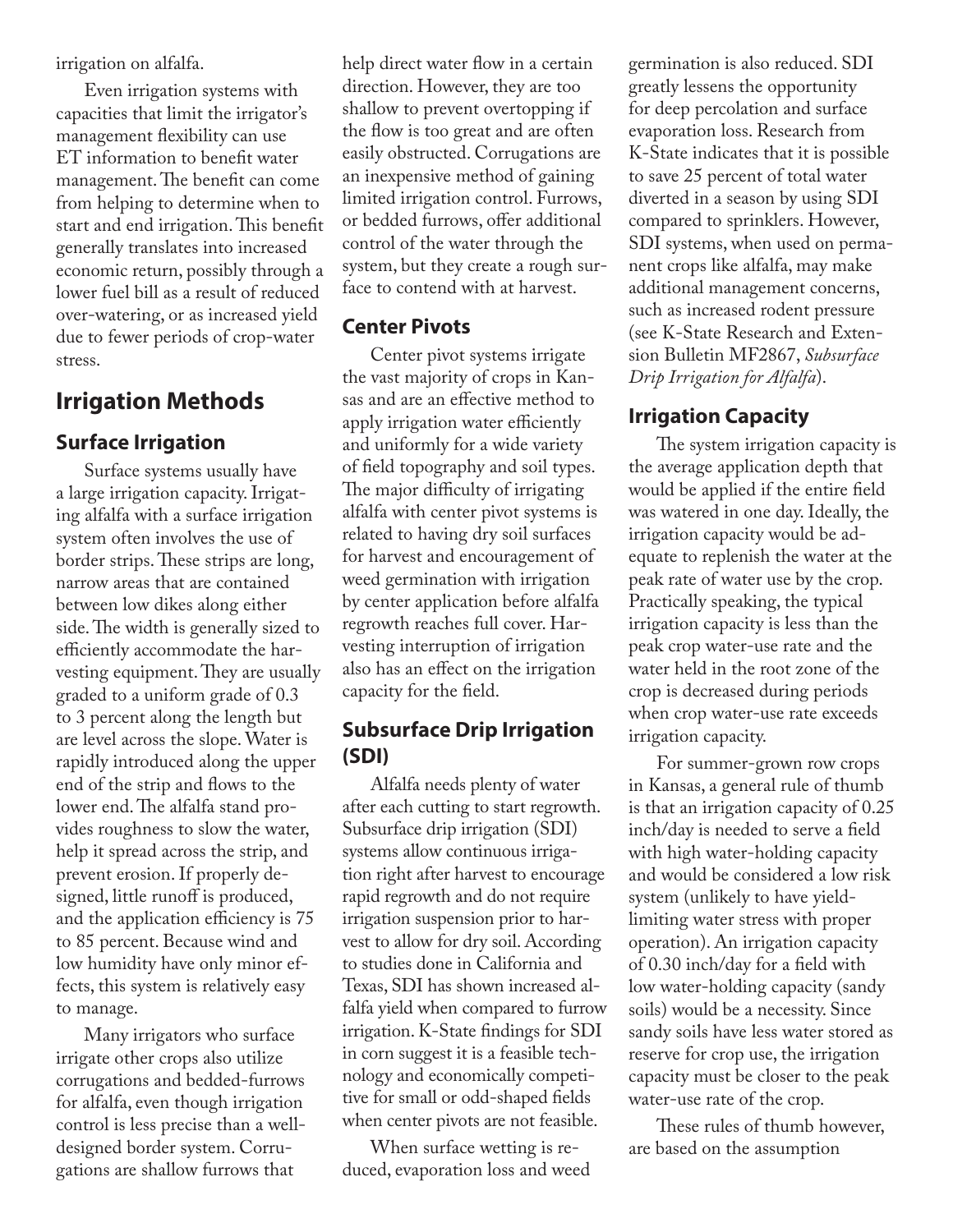irrigation on alfalfa.

Even irrigation systems with capacities that limit the irrigator's management flexibility can use ET information to benefit water management. The benefit can come from helping to determine when to start and end irrigation. This benefit generally translates into increased economic return, possibly through a lower fuel bill as a result of reduced over-watering, or as increased yield due to fewer periods of crop-water stress.

## **Irrigation Methods**

#### **Surface Irrigation**

Surface systems usually have a large irrigation capacity. Irrigating alfalfa with a surface irrigation system often involves the use of border strips. These strips are long, narrow areas that are contained between low dikes along either side. The width is generally sized to efficiently accommodate the harvesting equipment. They are usually graded to a uniform grade of 0.3 to 3 percent along the length but are level across the slope. Water is rapidly introduced along the upper end of the strip and flows to the lower end. The alfalfa stand provides roughness to slow the water, help it spread across the strip, and prevent erosion. If properly designed, little runoff is produced, and the application efficiency is 75 to 85 percent. Because wind and low humidity have only minor effects, this system is relatively easy to manage.

Many irrigators who surface irrigate other crops also utilize corrugations and bedded-furrows for alfalfa, even though irrigation control is less precise than a welldesigned border system. Corrugations are shallow furrows that

help direct water flow in a certain direction. However, they are too shallow to prevent overtopping if the flow is too great and are often easily obstructed. Corrugations are an inexpensive method of gaining limited irrigation control. Furrows, or bedded furrows, offer additional control of the water through the system, but they create a rough surface to contend with at harvest.

#### **Center Pivots**

Center pivot systems irrigate the vast majority of crops in Kansas and are an effective method to apply irrigation water efficiently and uniformly for a wide variety of field topography and soil types. The major difficulty of irrigating alfalfa with center pivot systems is related to having dry soil surfaces for harvest and encouragement of weed germination with irrigation by center application before alfalfa regrowth reaches full cover. Harvesting interruption of irrigation also has an effect on the irrigation capacity for the field.

## **Subsurface Drip Irrigation (SDI)**

Alfalfa needs plenty of water after each cutting to start regrowth. Subsurface drip irrigation (SDI) systems allow continuous irrigation right after harvest to encourage rapid regrowth and do not require irrigation suspension prior to harvest to allow for dry soil. According to studies done in California and Texas, SDI has shown increased alfalfa yield when compared to furrow irrigation. K-State findings for SDI in corn suggest it is a feasible technology and economically competitive for small or odd-shaped fields when center pivots are not feasible.

When surface wetting is reduced, evaporation loss and weed germination is also reduced. SDI greatly lessens the opportunity for deep percolation and surface evaporation loss. Research from K-State indicates that it is possible to save 25 percent of total water diverted in a season by using SDI compared to sprinklers. However, SDI systems, when used on permanent crops like alfalfa, may make additional management concerns, such as increased rodent pressure (see K-State Research and Extension Bulletin MF2867, *Subsurface Drip Irrigation for Alfalfa*).

## **Irrigation Capacity**

The system irrigation capacity is the average application depth that would be applied if the entire field was watered in one day. Ideally, the irrigation capacity would be adequate to replenish the water at the peak rate of water use by the crop. Practically speaking, the typical irrigation capacity is less than the peak crop water-use rate and the water held in the root zone of the crop is decreased during periods when crop water-use rate exceeds irrigation capacity.

For summer-grown row crops in Kansas, a general rule of thumb is that an irrigation capacity of 0.25 inch/day is needed to serve a field with high water-holding capacity and would be considered a low risk system (unlikely to have yieldlimiting water stress with proper operation). An irrigation capacity of 0.30 inch/day for a field with low water-holding capacity (sandy soils) would be a necessity. Since sandy soils have less water stored as reserve for crop use, the irrigation capacity must be closer to the peak water-use rate of the crop.

These rules of thumb however, are based on the assumption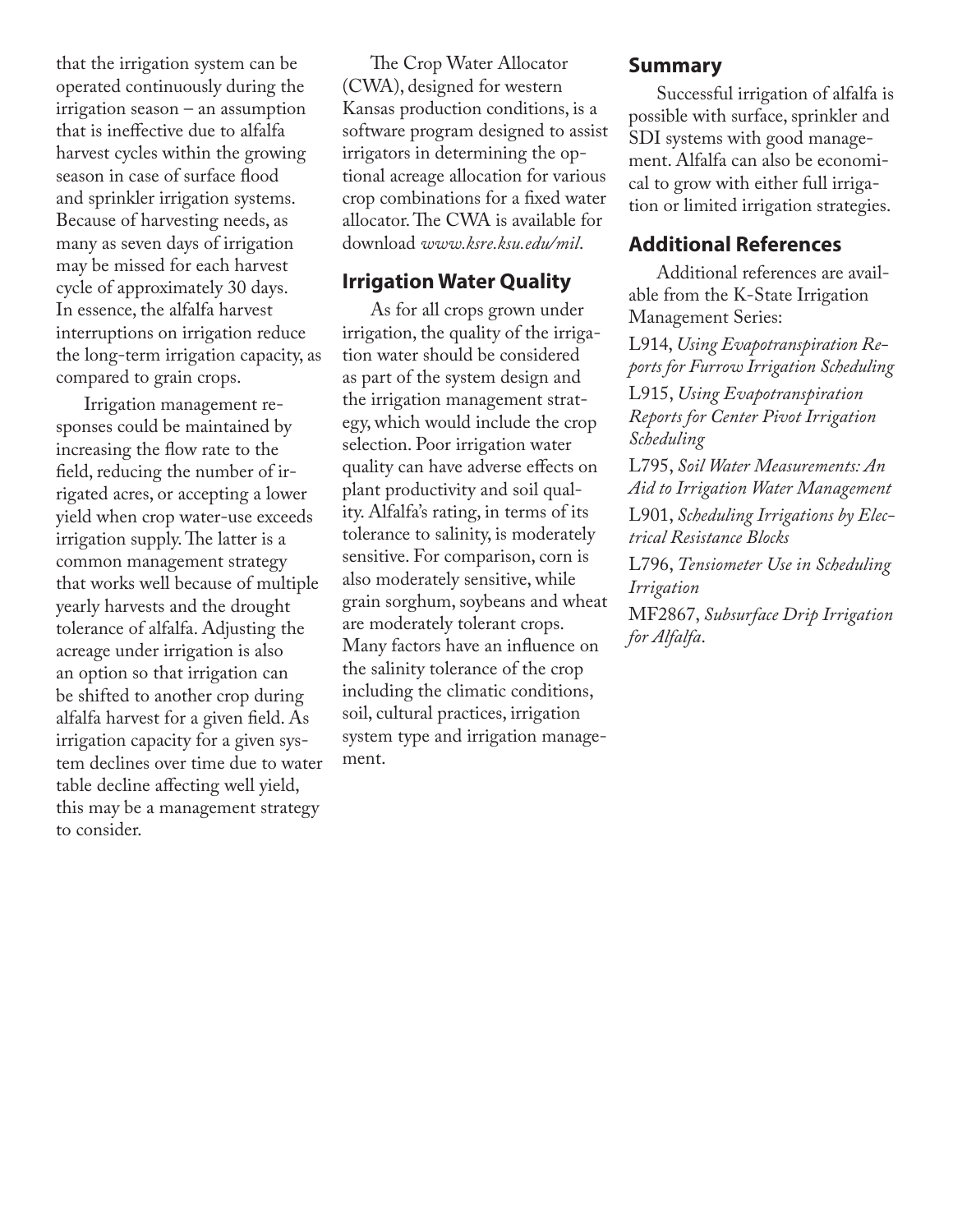that the irrigation system can be operated continuously during the irrigation season – an assumption that is ineffective due to alfalfa harvest cycles within the growing season in case of surface flood and sprinkler irrigation systems. Because of harvesting needs, as many as seven days of irrigation may be missed for each harvest cycle of approximately 30 days. In essence, the alfalfa harvest interruptions on irrigation reduce the long-term irrigation capacity, as compared to grain crops.

Irrigation management responses could be maintained by increasing the flow rate to the field, reducing the number of irrigated acres, or accepting a lower yield when crop water-use exceeds irrigation supply. The latter is a common management strategy that works well because of multiple yearly harvests and the drought tolerance of alfalfa. Adjusting the acreage under irrigation is also an option so that irrigation can be shifted to another crop during alfalfa harvest for a given field. As irrigation capacity for a given system declines over time due to water table decline affecting well yield, this may be a management strategy to consider.

The Crop Water Allocator (CWA), designed for western Kansas production conditions, is a software program designed to assist irrigators in determining the optional acreage allocation for various crop combinations for a fixed water allocator. The CWA is available for download *www.ksre.ksu.edu/mil*.

#### **Irrigation Water Quality**

As for all crops grown under irrigation, the quality of the irrigation water should be considered as part of the system design and the irrigation management strategy, which would include the crop selection. Poor irrigation water quality can have adverse effects on plant productivity and soil quality. Alfalfa's rating, in terms of its tolerance to salinity, is moderately sensitive. For comparison, corn is also moderately sensitive, while grain sorghum, soybeans and wheat are moderately tolerant crops. Many factors have an influence on the salinity tolerance of the crop including the climatic conditions, soil, cultural practices, irrigation system type and irrigation management.

#### **Summary**

Successful irrigation of alfalfa is possible with surface, sprinkler and SDI systems with good management. Alfalfa can also be economical to grow with either full irrigation or limited irrigation strategies.

#### **Additional References**

Additional references are available from the K-State Irrigation Management Series:

L914, *Using Evapotranspiration Reports for Furrow Irrigation Scheduling* L915, *Using Evapotranspiration Reports for Center Pivot Irrigation Scheduling*

L795, *Soil Water Measurements: An Aid to Irrigation Water Management* L901, *Scheduling Irrigations by Electrical Resistance Blocks*

L796, *Tensiometer Use in Scheduling Irrigation*

MF2867, *Subsurface Drip Irrigation for Alfalfa*.